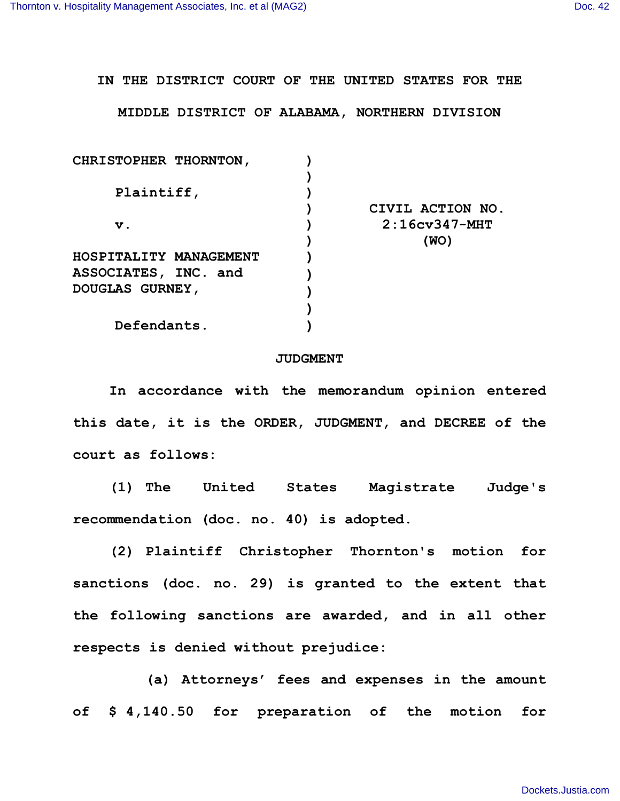**IN THE DISTRICT COURT OF THE UNITED STATES FOR THE**

**MIDDLE DISTRICT OF ALABAMA, NORTHERN DIVISION**

| CHRISTOPHER THORNTON,  |                  |
|------------------------|------------------|
|                        |                  |
| Plaintiff,             |                  |
|                        | CIVIL ACTION NO. |
| $\mathbf v$ .          | $2:16cy347-MHT$  |
|                        | (WO)             |
| HOSPITALITY MANAGEMENT |                  |
| ASSOCIATES, INC. and   |                  |
| <b>DOUGLAS GURNEY,</b> |                  |
|                        |                  |
| Defendants.            |                  |

## **JUDGMENT**

**In accordance with the memorandum opinion entered this date, it is the ORDER, JUDGMENT, and DECREE of the court as follows:**

**(1) The United States Magistrate Judge's recommendation (doc. no. 40) is adopted.**

**(2) Plaintiff Christopher Thornton's motion for sanctions (doc. no. 29) is granted to the extent that the following sanctions are awarded, and in all other respects is denied without prejudice:** 

**(a) Attorneys' fees and expenses in the amount of \$ 4,140.50 for preparation of the motion for**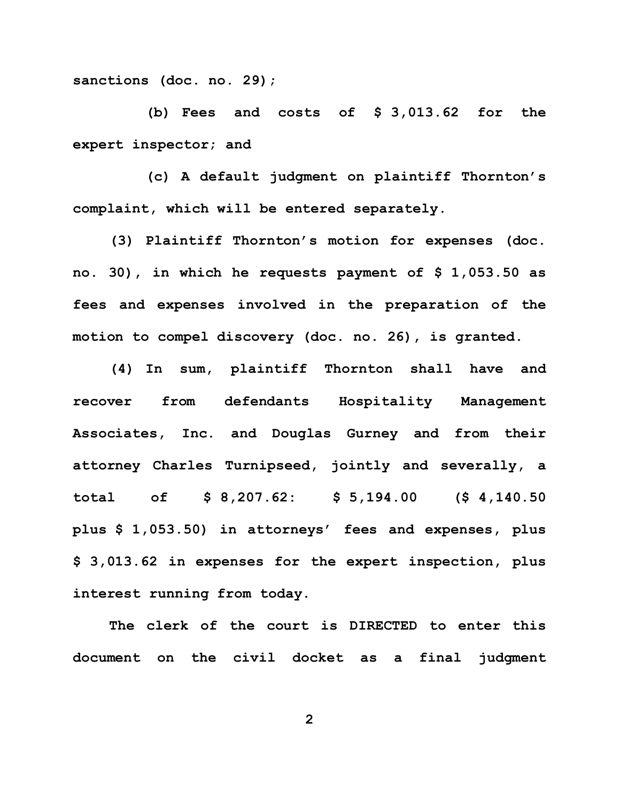**sanctions (doc. no. 29);** 

**(b) Fees and costs of \$ 3,013.62 for the expert inspector; and**

**(c) A default judgment on plaintiff Thornton's complaint, which will be entered separately.**

**(3) Plaintiff Thornton's motion for expenses (doc. no. 30), in which he requests payment of \$ 1,053.50 as fees and expenses involved in the preparation of the motion to compel discovery (doc. no. 26), is granted.**

**(4) In sum, plaintiff Thornton shall have and recover from defendants Hospitality Management Associates, Inc. and Douglas Gurney and from their attorney Charles Turnipseed, jointly and severally, a total of \$ 8,207.62: \$ 5,194.00 (\$ 4,140.50 plus \$ 1,053.50) in attorneys' fees and expenses, plus \$ 3,013.62 in expenses for the expert inspection, plus interest running from today.** 

**The clerk of the court is DIRECTED to enter this document on the civil docket as a final judgment** 

**2**